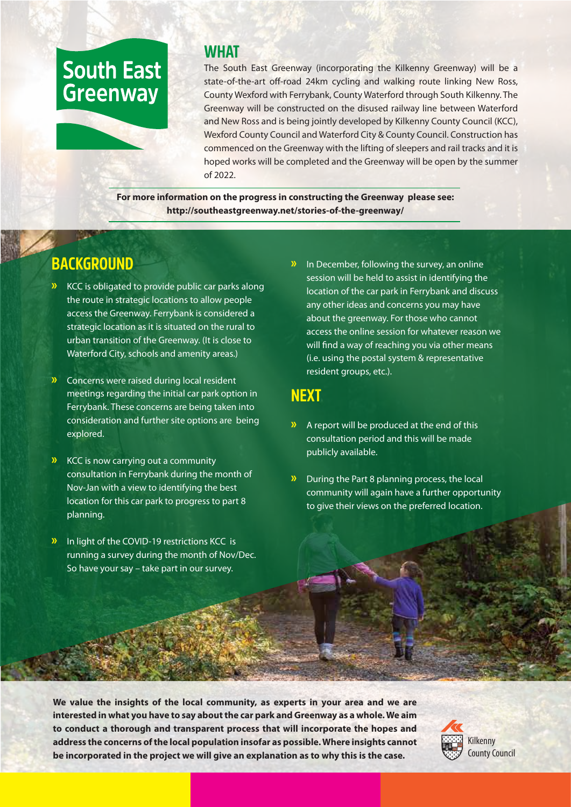# **South East Greenway**

#### **WHAT**

The South East Greenway (incorporating the Kilkenny Greenway) will be a state-of-the-art off-road 24km cycling and walking route linking New Ross, County Wexford with Ferrybank, County Waterford through South Kilkenny. The Greenway will be constructed on the disused railway line between Waterford and New Ross and is being jointly developed by Kilkenny County Council (KCC), Wexford County Council and Waterford City & County Council. Construction has commenced on the Greenway with the lifting of sleepers and rail tracks and it is hoped works will be completed and the Greenway will be open by the summer of 2022.

**For more information on the progress in constructing the Greenway please see: http://southeastgreenway.net/stories-of-the-greenway/**

# **BACKGROUND**

- **»** KCC is obligated to provide public car parks along the route in strategic locations to allow people access the Greenway. Ferrybank is considered a strategic location as it is situated on the rural to urban transition of the Greenway. (It is close to Waterford City, schools and amenity areas.)
- **»** Concerns were raised during local resident meetings regarding the initial car park option in Ferrybank. These concerns are being taken into consideration and further site options are being explored.
- **»** KCC is now carrying out a community consultation in Ferrybank during the month of Nov-Jan with a view to identifying the best location for this car park to progress to part 8 planning.
- **»** In light of the COVID-19 restrictions KCC is running a survey during the month of Nov/Dec. So have your say – take part in our survey.

**»** In December, following the survey, an online session will be held to assist in identifying the location of the car park in Ferrybank and discuss any other ideas and concerns you may have about the greenway. For those who cannot access the online session for whatever reason we will find a way of reaching you via other means (i.e. using the postal system & representative resident groups, etc.).

### **NEXT**

- **»** A report will be produced at the end of this consultation period and this will be made publicly available.
- **»** During the Part 8 planning process, the local community will again have a further opportunity to give their views on the preferred location.

**We value the insights of the local community, as experts in your area and we are interested in what you have to say about the car park and Greenway as a whole. We aim to conduct a thorough and transparent process that will incorporate the hopes and address the concerns of the local population insofar as possible. Where insights cannot be incorporated in the project we will give an explanation as to why this is the case.**